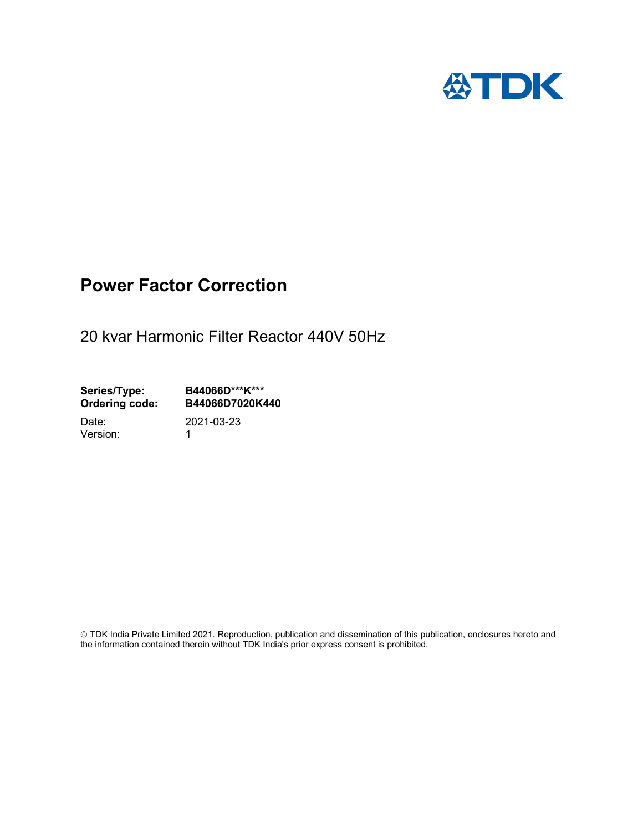

## Power Factor Correction

20 kvar Harmonic Filter Reactor 440V 50Hz

Series/Type: B44066D\*\*\*K\*\*\* Ordering code: B44066D7020K440

Version: 1

Date: 2021-03-23

 TDK India Private Limited 2021. Reproduction, publication and dissemination of this publication, enclosures hereto and the information contained therein without TDK India's prior express consent is prohibited.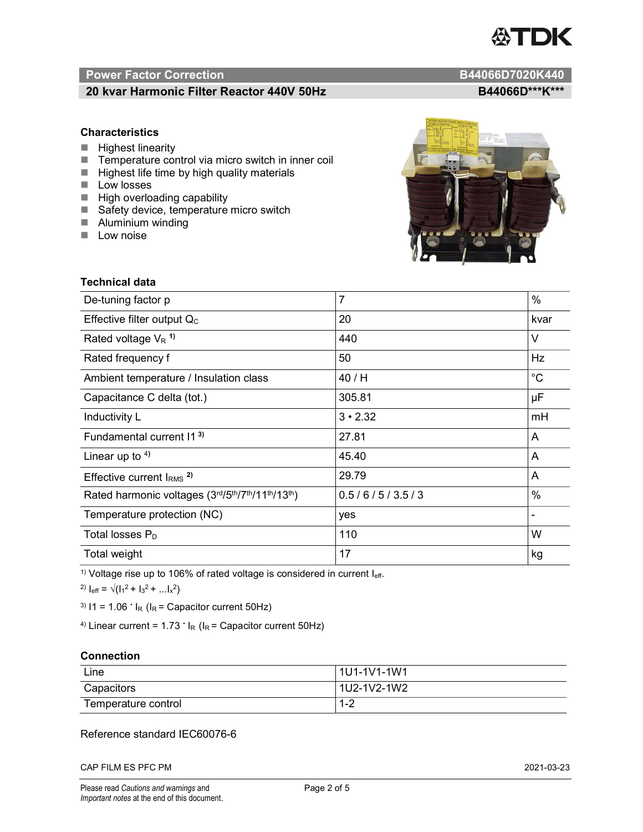# TDK

### Power Factor Correction and Content of the Content of the B44066D7020K440

#### 20 kvar Harmonic Filter Reactor 440V 50Hz<br>B44066D\*\*\*K\*\*\*

#### **Characteristics**

- $\blacksquare$  Highest linearity
- Temperature control via micro switch in inner coil
- $\blacksquare$  Highest life time by high quality materials
- **Low losses**
- $\blacksquare$  High overloading capability
- Safety device, temperature micro switch
- **Aluminium winding**
- **Low noise**



| Technical data                                  |                |             |  |
|-------------------------------------------------|----------------|-------------|--|
| De-tuning factor p                              | $\overline{7}$ | %           |  |
| Effective filter output $Q_C$                   | 20             | kvar        |  |
| Rated voltage $V_R$ <sup>1)</sup>               | 440            | V           |  |
| Rated frequency f                               | 50             | Hz          |  |
| Ambient temperature / Insulation class          | 40 / H         | $^{\circ}C$ |  |
| Capacitance C delta (tot.)                      | 305.81         | μF          |  |
| Inductivity L                                   | $3 \cdot 2.32$ | mH          |  |
| Fundamental current 11 <sup>3)</sup>            | 27.81          | A           |  |
| Linear up to $4$ )                              | 45.40          | A           |  |
| Effective current $IRMS$ <sup>2)</sup>          | 29.79          | A           |  |
| Rated harmonic voltages (3rd/5th/7th/11th/13th) | 0.5/6/5/3.5/3  | $\%$        |  |
| Temperature protection (NC)                     | yes            |             |  |
| Total losses $P_D$                              | 110            | W           |  |
| Total weight                                    | 17             | kg          |  |

<sup>1)</sup> Voltage rise up to 106% of rated voltage is considered in current  $I_{\text{eff}}$ .

<sup>2)</sup>  $I_{eff} = \sqrt{(I_1^2 + I_3^2 + ... I_x^2)}$ 

<sup>3)</sup>  $11 = 1.06$   $\cdot$   $I_R$  ( $I_R$  = Capacitor current 50Hz)

<sup>4)</sup> Linear current =  $1.73$   $\cdot$  I<sub>R</sub> (I<sub>R</sub> = Capacitor current 50Hz)

#### **Connection**

| Line                | l 1U1-1V1-1W1       |
|---------------------|---------------------|
| Capacitors          | l 1U2-1V2-1W2       |
| Temperature control | <u> 4 ຕ</u><br>ے- ا |

#### Reference standard IEC60076-6

CAP FILM ES PFC PM 2021-03-23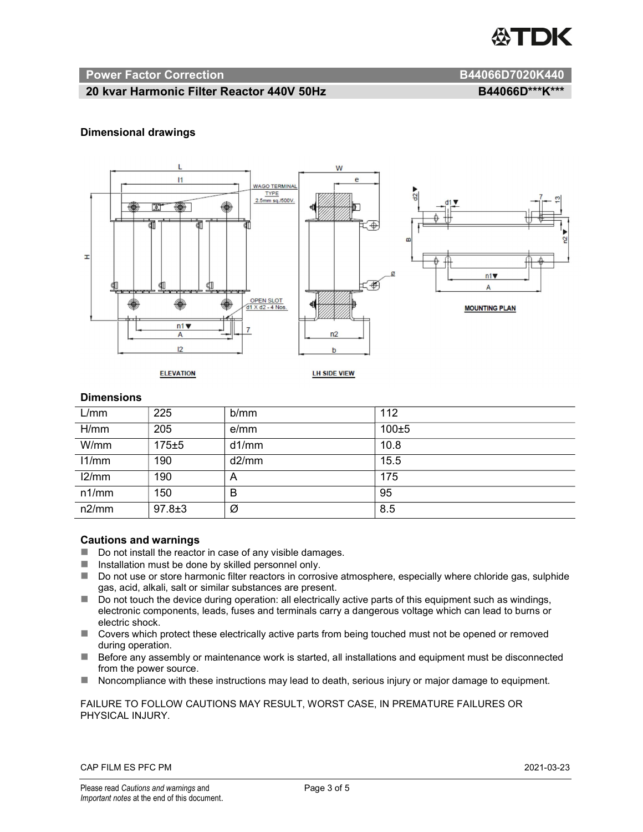

#### Power Factor Correction and B44066D7020K440

#### 20 kvar Harmonic Filter Reactor 440V 50Hz BA4066D\*\*\*K\*\*\*

#### Dimensional drawings



#### **Dimensions**

| L/mm  | 225          | b/mm  | 112       |
|-------|--------------|-------|-----------|
| H/mm  | 205          | e/mm  | $100 + 5$ |
| W/mm  | $175 + 5$    | d1/mm | 10.8      |
| 11/mm | 190          | d2/mm | 15.5      |
| 12/mm | 190          | A     | 175       |
| n1/mm | 150          | B     | 95        |
| n2/mm | $97.8 \pm 3$ | Ø     | 8.5       |

#### Cautions and warnings

- Do not install the reactor in case of any visible damages.
- $\blacksquare$  Installation must be done by skilled personnel only.
- Do not use or store harmonic filter reactors in corrosive atmosphere, especially where chloride gas, sulphide gas, acid, alkali, salt or similar substances are present.
- $\Box$  Do not touch the device during operation: all electrically active parts of this equipment such as windings, electronic components, leads, fuses and terminals carry a dangerous voltage which can lead to burns or electric shock.
- Covers which protect these electrically active parts from being touched must not be opened or removed during operation.
- Before any assembly or maintenance work is started, all installations and equipment must be disconnected from the power source.
- Noncompliance with these instructions may lead to death, serious injury or major damage to equipment.

#### FAILURE TO FOLLOW CAUTIONS MAY RESULT, WORST CASE, IN PREMATURE FAILURES OR PHYSICAL INJURY.

#### CAP FILM ES PFC PM 2021-03-23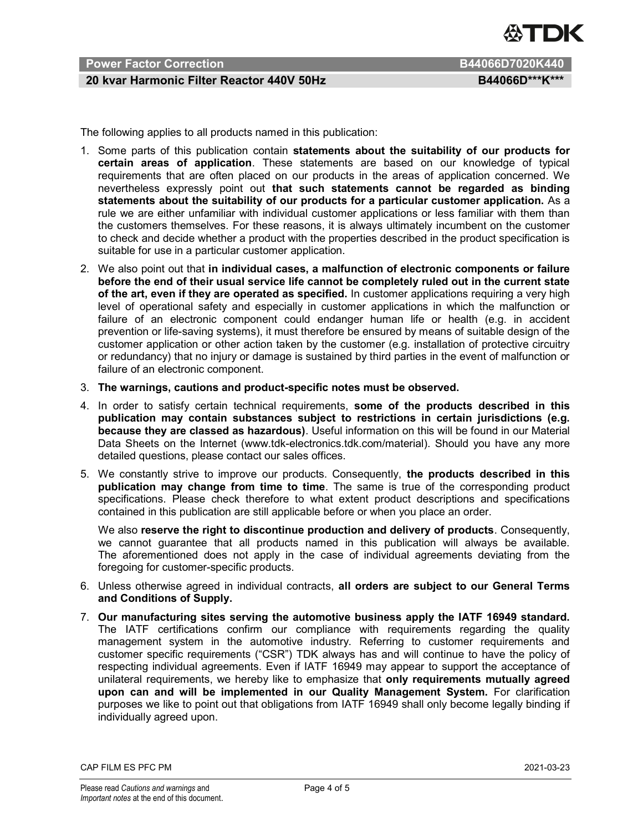

#### Power Factor Correction **B44066D7020K440**

#### 20 kvar Harmonic Filter Reactor 440V 50Hz BA4066D\*\*\*K\*\*\*

The following applies to all products named in this publication:

- 1. Some parts of this publication contain statements about the suitability of our products for certain areas of application. These statements are based on our knowledge of typical requirements that are often placed on our products in the areas of application concerned. We nevertheless expressly point out that such statements cannot be regarded as binding statements about the suitability of our products for a particular customer application. As a rule we are either unfamiliar with individual customer applications or less familiar with them than the customers themselves. For these reasons, it is always ultimately incumbent on the customer to check and decide whether a product with the properties described in the product specification is suitable for use in a particular customer application.
- 2. We also point out that in individual cases, a malfunction of electronic components or failure before the end of their usual service life cannot be completely ruled out in the current state of the art, even if they are operated as specified. In customer applications requiring a very high level of operational safety and especially in customer applications in which the malfunction or failure of an electronic component could endanger human life or health (e.g. in accident prevention or life-saving systems), it must therefore be ensured by means of suitable design of the customer application or other action taken by the customer (e.g. installation of protective circuitry or redundancy) that no injury or damage is sustained by third parties in the event of malfunction or failure of an electronic component.
- 3. The warnings, cautions and product-specific notes must be observed.
- 4. In order to satisfy certain technical requirements, some of the products described in this publication may contain substances subject to restrictions in certain jurisdictions (e.g. because they are classed as hazardous). Useful information on this will be found in our Material Data Sheets on the Internet (www.tdk-electronics.tdk.com/material). Should you have any more detailed questions, please contact our sales offices.
- 5. We constantly strive to improve our products. Consequently, the products described in this publication may change from time to time. The same is true of the corresponding product specifications. Please check therefore to what extent product descriptions and specifications contained in this publication are still applicable before or when you place an order.

We also reserve the right to discontinue production and delivery of products. Consequently, we cannot guarantee that all products named in this publication will always be available. The aforementioned does not apply in the case of individual agreements deviating from the foregoing for customer-specific products.

- 6. Unless otherwise agreed in individual contracts, all orders are subject to our General Terms and Conditions of Supply.
- 7. Our manufacturing sites serving the automotive business apply the IATF 16949 standard. The IATF certifications confirm our compliance with requirements regarding the quality management system in the automotive industry. Referring to customer requirements and customer specific requirements ("CSR") TDK always has and will continue to have the policy of respecting individual agreements. Even if IATF 16949 may appear to support the acceptance of unilateral requirements, we hereby like to emphasize that only requirements mutually agreed upon can and will be implemented in our Quality Management System. For clarification purposes we like to point out that obligations from IATF 16949 shall only become legally binding if individually agreed upon.